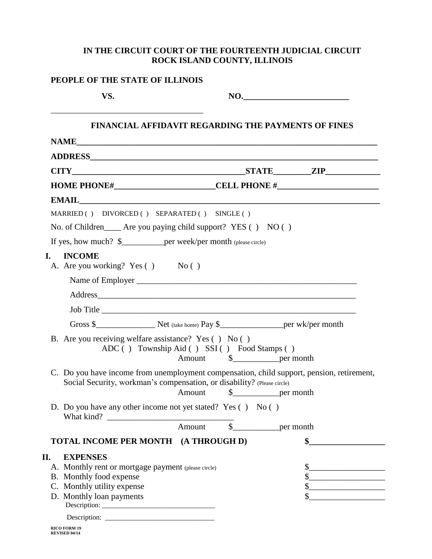## **IN THE CIRCUIT COURT OF THE FOURTEENTH JUDICIAL CIRCUIT ROCK ISLAND COUNTY, ILLINOIS**

| VS.                                                                                                                                                                  |                                                                                   | $\mathbf{NO.}$                                                                                                       |
|----------------------------------------------------------------------------------------------------------------------------------------------------------------------|-----------------------------------------------------------------------------------|----------------------------------------------------------------------------------------------------------------------|
|                                                                                                                                                                      |                                                                                   | <b>FINANCIAL AFFIDAVIT REGARDING THE PAYMENTS OF FINES</b>                                                           |
|                                                                                                                                                                      |                                                                                   |                                                                                                                      |
|                                                                                                                                                                      |                                                                                   |                                                                                                                      |
| $CITY$ 2IP                                                                                                                                                           |                                                                                   |                                                                                                                      |
|                                                                                                                                                                      | HOME PHONE#_____________________________CELL PHONE #_____________________________ |                                                                                                                      |
|                                                                                                                                                                      |                                                                                   |                                                                                                                      |
| MARRIED () DIVORCED () SEPARATED () SINGLE ()                                                                                                                        |                                                                                   |                                                                                                                      |
| No. of Children ______ Are you paying child support? YES () NO ()                                                                                                    |                                                                                   |                                                                                                                      |
| If yes, how much? \$_____________per week/per month (please circle)                                                                                                  |                                                                                   |                                                                                                                      |
| <b>INCOME</b><br>L.<br>A. Are you working? Yes () No ()                                                                                                              |                                                                                   |                                                                                                                      |
|                                                                                                                                                                      |                                                                                   |                                                                                                                      |
|                                                                                                                                                                      |                                                                                   |                                                                                                                      |
| Job Title                                                                                                                                                            |                                                                                   |                                                                                                                      |
|                                                                                                                                                                      |                                                                                   |                                                                                                                      |
| B. Are you receiving welfare assistance? Yes () No ()                                                                                                                | ADC () Township Aid () SSI () Food Stamps ()                                      |                                                                                                                      |
| C. Do you have income from unemployment compensation, child support, pension, retirement,<br>Social Security, workman's compensation, or disability? (Please circle) | Amount<br>\$                                                                      | per month                                                                                                            |
| D. Do you have any other income not yet stated? Yes () No ()                                                                                                         |                                                                                   |                                                                                                                      |
|                                                                                                                                                                      | Amount                                                                            |                                                                                                                      |
| TOTAL INCOME PER MONTH (A THROUGH D)                                                                                                                                 |                                                                                   | \$                                                                                                                   |
| П.<br><b>EXPENSES</b>                                                                                                                                                |                                                                                   |                                                                                                                      |
| A. Monthly rent or mortgage payment (please circle)                                                                                                                  |                                                                                   | <u> 1980 - Jan James James Barbara, político establecente de la propia de la propia de la propia de la propia de</u> |
| B. Monthly food expense<br>C. Monthly utility expense                                                                                                                |                                                                                   | <u> 1980 - Johann Barbara, martxa alemaniar a</u><br>\$                                                              |
| D. Monthly loan payments                                                                                                                                             |                                                                                   |                                                                                                                      |
|                                                                                                                                                                      |                                                                                   |                                                                                                                      |
|                                                                                                                                                                      |                                                                                   |                                                                                                                      |